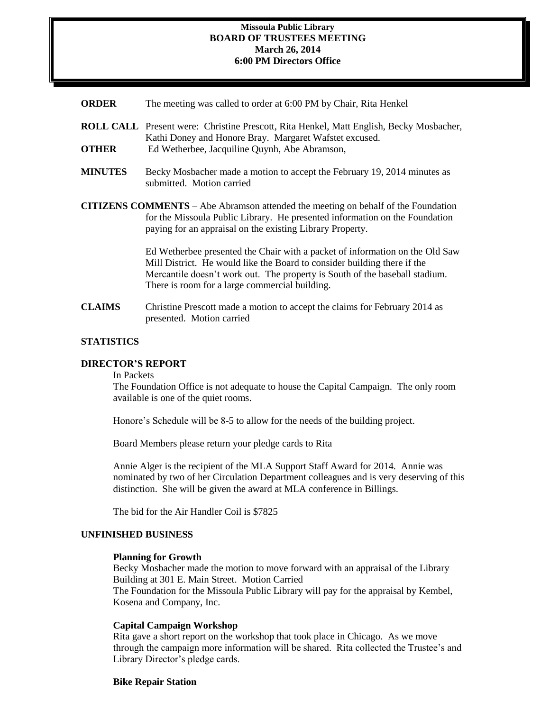#### **Missoula Public Library BOARD OF TRUSTEES MEETING March 26, 2014 6:00 PM Directors Office**

- **ORDER** The meeting was called to order at 6:00 PM by Chair, Rita Henkel
- **ROLL CALL** Present were: Christine Prescott, Rita Henkel, Matt English, Becky Mosbacher, Kathi Doney and Honore Bray. Margaret Wafstet excused. **OTHER** Ed Wetherbee, Jacquiline Ouynh, Abe Abramson,
- **MINUTES** Becky Mosbacher made a motion to accept the February 19, 2014 minutes as submitted. Motion carried
- **CITIZENS COMMENTS**  Abe Abramson attended the meeting on behalf of the Foundation for the Missoula Public Library. He presented information on the Foundation

paying for an appraisal on the existing Library Property.

Ed Wetherbee presented the Chair with a packet of information on the Old Saw Mill District. He would like the Board to consider building there if the Mercantile doesn't work out. The property is South of the baseball stadium. There is room for a large commercial building.

**CLAIMS** Christine Prescott made a motion to accept the claims for February 2014 as presented. Motion carried

# **STATISTICS**

## **DIRECTOR'S REPORT**

In Packets

The Foundation Office is not adequate to house the Capital Campaign. The only room available is one of the quiet rooms.

Honore's Schedule will be 8-5 to allow for the needs of the building project.

Board Members please return your pledge cards to Rita

Annie Alger is the recipient of the MLA Support Staff Award for 2014. Annie was nominated by two of her Circulation Department colleagues and is very deserving of this distinction. She will be given the award at MLA conference in Billings.

The bid for the Air Handler Coil is \$7825

#### **UNFINISHED BUSINESS**

#### **Planning for Growth**

Becky Mosbacher made the motion to move forward with an appraisal of the Library Building at 301 E. Main Street. Motion Carried The Foundation for the Missoula Public Library will pay for the appraisal by Kembel, Kosena and Company, Inc.

## **Capital Campaign Workshop**

Rita gave a short report on the workshop that took place in Chicago. As we move through the campaign more information will be shared. Rita collected the Trustee's and Library Director's pledge cards.

## **Bike Repair Station**